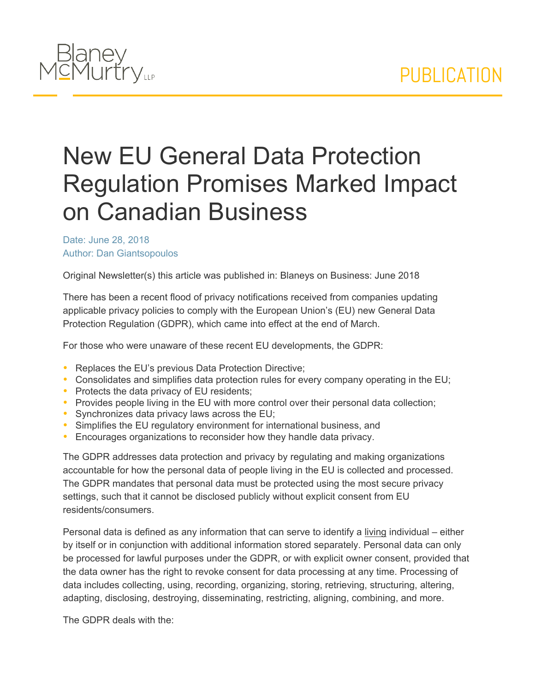

## New EU General Data Protection Regulation Promises Marked Impact on Canadian Business

Date: June 28, 2018 Author: Dan Giantsopoulos

Original Newsletter(s) this article was published in: Blaneys on Business: June 2018

There has been a recent flood of privacy notifications received from companies updating applicable privacy policies to comply with the European Union's (EU) new General Data Protection Regulation (GDPR), which came into effect at the end of March.

For those who were unaware of these recent EU developments, the GDPR:

- Replaces the EU's previous Data Protection Directive;
- Consolidates and simplifies data protection rules for every company operating in the EU;
- Protects the data privacy of EU residents;
- Provides people living in the EU with more control over their personal data collection;
- Synchronizes data privacy laws across the EU;
- Simplifies the EU regulatory environment for international business, and
- Encourages organizations to reconsider how they handle data privacy.

The GDPR addresses data protection and privacy by regulating and making organizations accountable for how the personal data of people living in the EU is collected and processed. The GDPR mandates that personal data must be protected using the most secure privacy settings, such that it cannot be disclosed publicly without explicit consent from EU residents/consumers.

Personal data is defined as any information that can serve to identify a living individual – either by itself or in conjunction with additional information stored separately. Personal data can only be processed for lawful purposes under the GDPR, or with explicit owner consent, provided that the data owner has the right to revoke consent for data processing at any time. Processing of data includes collecting, using, recording, organizing, storing, retrieving, structuring, altering, adapting, disclosing, destroying, disseminating, restricting, aligning, combining, and more.

The GDPR deals with the: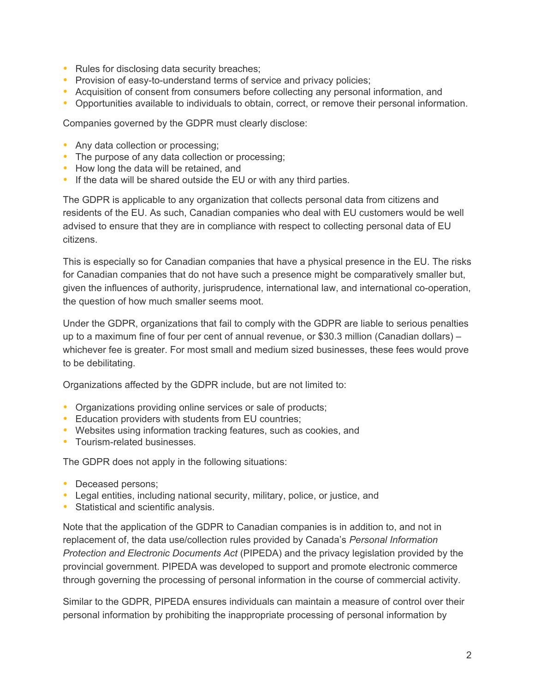- Rules for disclosing data security breaches;
- Provision of easy-to-understand terms of service and privacy policies;
- Acquisition of consent from consumers before collecting any personal information, and
- Opportunities available to individuals to obtain, correct, or remove their personal information.

Companies governed by the GDPR must clearly disclose:

- Any data collection or processing;
- The purpose of any data collection or processing;
- How long the data will be retained, and
- If the data will be shared outside the EU or with any third parties.

The GDPR is applicable to any organization that collects personal data from citizens and residents of the EU. As such, Canadian companies who deal with EU customers would be well advised to ensure that they are in compliance with respect to collecting personal data of EU citizens.

This is especially so for Canadian companies that have a physical presence in the EU. The risks for Canadian companies that do not have such a presence might be comparatively smaller but, given the influences of authority, jurisprudence, international law, and international co-operation, the question of how much smaller seems moot.

Under the GDPR, organizations that fail to comply with the GDPR are liable to serious penalties up to a maximum fine of four per cent of annual revenue, or \$30.3 million (Canadian dollars) – whichever fee is greater. For most small and medium sized businesses, these fees would prove to be debilitating.

Organizations affected by the GDPR include, but are not limited to:

- Organizations providing online services or sale of products;
- Education providers with students from EU countries;
- Websites using information tracking features, such as cookies, and
- Tourism-related businesses

The GDPR does not apply in the following situations:

- Deceased persons;
- Legal entities, including national security, military, police, or justice, and
- Statistical and scientific analysis.

Note that the application of the GDPR to Canadian companies is in addition to, and not in replacement of, the data use/collection rules provided by Canada's *Personal Information Protection and Electronic Documents Act* (PIPEDA) and the privacy legislation provided by the provincial government. PIPEDA was developed to support and promote electronic commerce through governing the processing of personal information in the course of commercial activity.

Similar to the GDPR, PIPEDA ensures individuals can maintain a measure of control over their personal information by prohibiting the inappropriate processing of personal information by